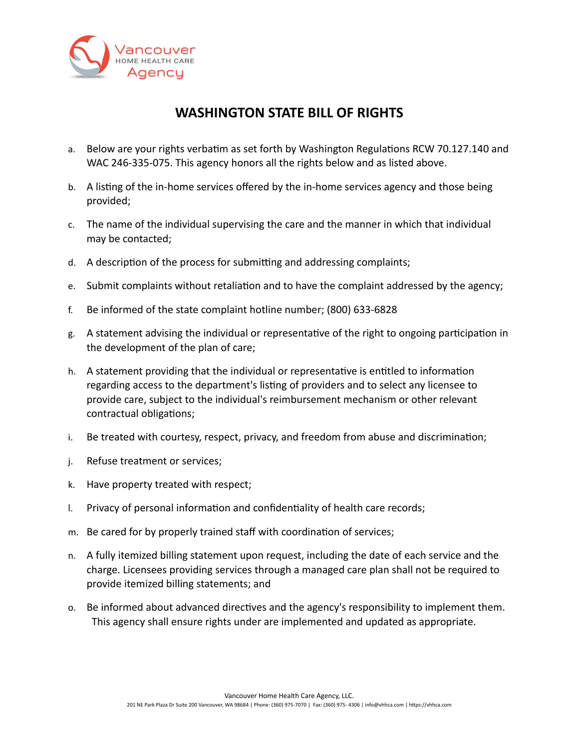

## **WASHINGTON STATE BILL OF RIGHTS**

- a. Below are your rights verbatim as set forth by Washington Regulations RCW 70.127.140 and WAC 246-335-075. This agency honors all the rights below and as listed above.
- b. A listing of the in-home services offered by the in-home services agency and those being provided;
- c. The name of the individual supervising the care and the manner in which that individual may be contacted;
- d. A description of the process for submitting and addressing complaints;
- e. Submit complaints without retaliation and to have the complaint addressed by the agency;
- f. Be informed of the state complaint hotline number; (800) 633-6828
- g. A statement advising the individual or representative of the right to ongoing participation in the development of the plan of care;
- h. A statement providing that the individual or representative is entitled to information regarding access to the department's listing of providers and to select any licensee to provide care, subject to the individual's reimbursement mechanism or other relevant contractual obligations;
- i. Be treated with courtesy, respect, privacy, and freedom from abuse and discrimination;
- j. Refuse treatment or services;
- k. Have property treated with respect;
- l. Privacy of personal information and confidentiality of health care records;
- m. Be cared for by properly trained staff with coordination of services;
- n. A fully itemized billing statement upon request, including the date of each service and the charge. Licensees providing services through a managed care plan shall not be required to provide itemized billing statements; and
- o. Be informed about advanced directives and the agency's responsibility to implement them. This agency shall ensure rights under are implemented and updated as appropriate.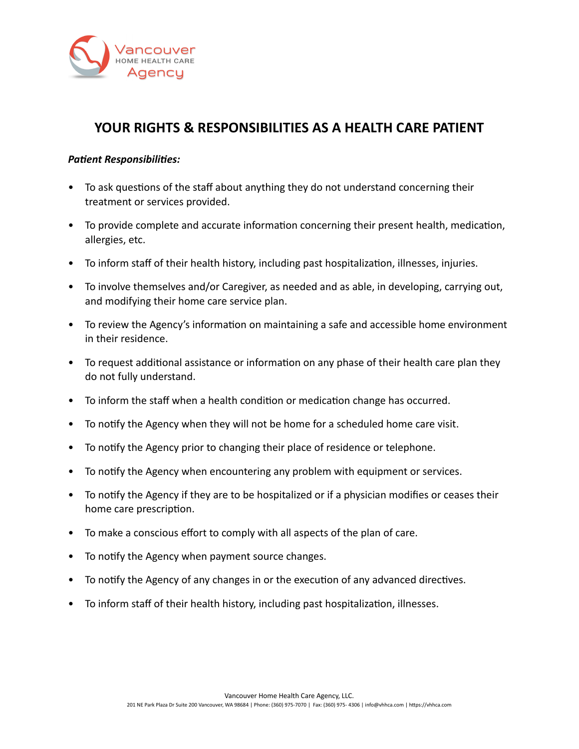

## **YOUR RIGHTS & RESPONSIBILITIES AS A HEALTH CARE PATIENT**

## *Patient Responsibilities:*

- To ask questions of the staff about anything they do not understand concerning their treatment or services provided.
- To provide complete and accurate information concerning their present health, medication, allergies, etc.
- To inform staff of their health history, including past hospitalization, illnesses, injuries.
- To involve themselves and/or Caregiver, as needed and as able, in developing, carrying out, and modifying their home care service plan.
- To review the Agency's information on maintaining a safe and accessible home environment in their residence.
- To request additional assistance or information on any phase of their health care plan they do not fully understand.
- To inform the staff when a health condition or medication change has occurred.
- To notify the Agency when they will not be home for a scheduled home care visit.
- To notify the Agency prior to changing their place of residence or telephone.
- To notify the Agency when encountering any problem with equipment or services.
- To notify the Agency if they are to be hospitalized or if a physician modifies or ceases their home care prescription.
- To make a conscious effort to comply with all aspects of the plan of care.
- To notify the Agency when payment source changes.
- To notify the Agency of any changes in or the execution of any advanced directives.
- To inform staff of their health history, including past hospitalization, illnesses.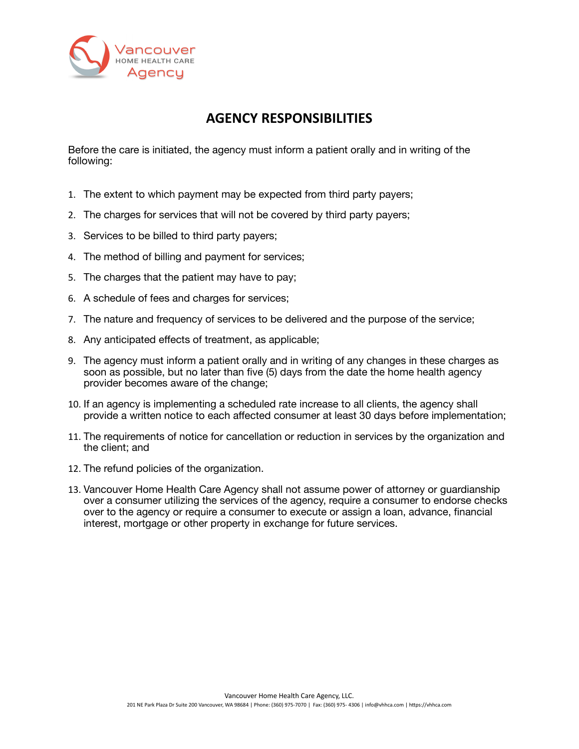

## **AGENCY RESPONSIBILITIES**

Before the care is initiated, the agency must inform a patient orally and in writing of the following:

- 1. The extent to which payment may be expected from third party payers;
- 2. The charges for services that will not be covered by third party payers;
- 3. Services to be billed to third party payers;
- 4. The method of billing and payment for services;
- 5. The charges that the patient may have to pay;
- 6. A schedule of fees and charges for services;
- 7. The nature and frequency of services to be delivered and the purpose of the service;
- 8. Any anticipated effects of treatment, as applicable;
- 9. The agency must inform a patient orally and in writing of any changes in these charges as soon as possible, but no later than five (5) days from the date the home health agency provider becomes aware of the change;
- 10. If an agency is implementing a scheduled rate increase to all clients, the agency shall provide a written notice to each affected consumer at least 30 days before implementation;
- 11. The requirements of notice for cancellation or reduction in services by the organization and the client; and
- 12. The refund policies of the organization.
- 13. Vancouver Home Health Care Agency shall not assume power of attorney or guardianship over a consumer utilizing the services of the agency, require a consumer to endorse checks over to the agency or require a consumer to execute or assign a loan, advance, financial interest, mortgage or other property in exchange for future services.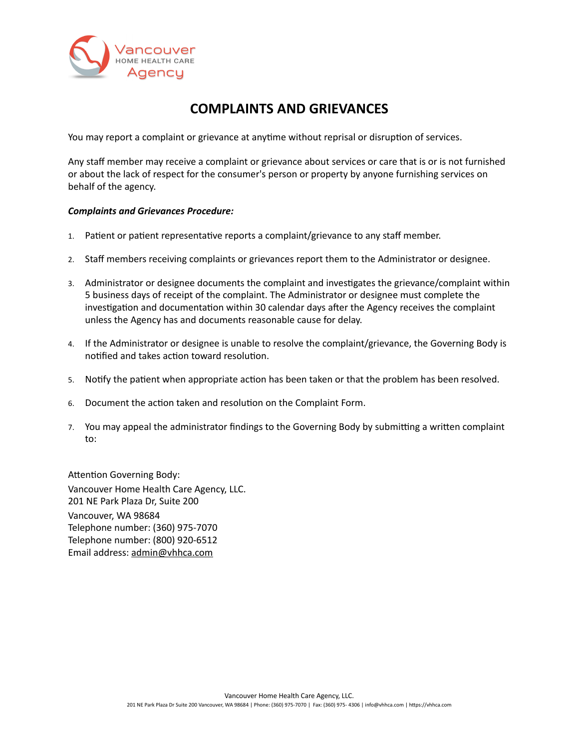

## **COMPLAINTS AND GRIEVANCES**

You may report a complaint or grievance at anytime without reprisal or disruption of services.

Any staff member may receive a complaint or grievance about services or care that is or is not furnished or about the lack of respect for the consumer's person or property by anyone furnishing services on behalf of the agency.

#### *Complaints and Grievances Procedure:*

- 1. Patient or patient representative reports a complaint/grievance to any staff member.
- 2. Staff members receiving complaints or grievances report them to the Administrator or designee.
- 3. Administrator or designee documents the complaint and investigates the grievance/complaint within 5 business days of receipt of the complaint. The Administrator or designee must complete the investigation and documentation within 30 calendar days after the Agency receives the complaint unless the Agency has and documents reasonable cause for delay.
- 4. If the Administrator or designee is unable to resolve the complaint/grievance, the Governing Body is notified and takes action toward resolution.
- 5. Notify the patient when appropriate action has been taken or that the problem has been resolved.
- 6. Document the action taken and resolution on the Complaint Form.
- 7. You may appeal the administrator findings to the Governing Body by submitting a written complaint to:

Attention Governing Body: Vancouver Home Health Care Agency, LLC. 201 NE Park Plaza Dr, Suite 200 Vancouver, WA 98684 Telephone number: (360) 975-7070 Telephone number: (800) 920-6512 Email address: [admin@vhhca.com](mailto:admin@vhhca.com)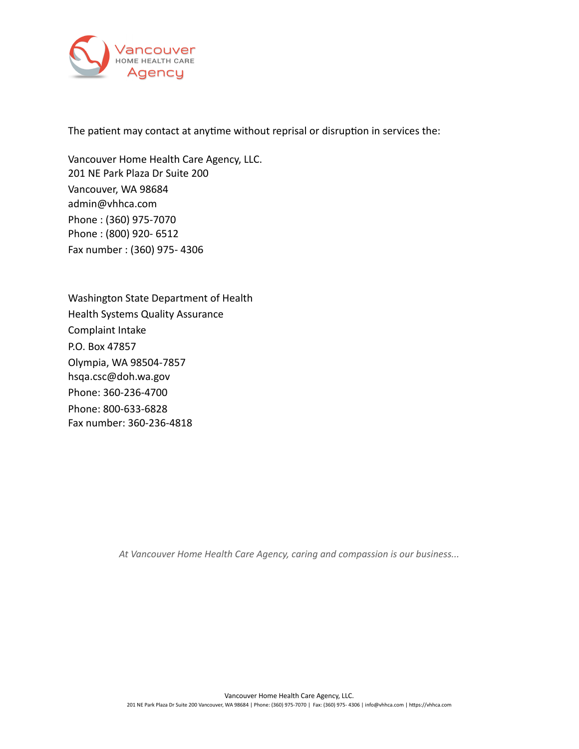

The patient may contact at anytime without reprisal or disruption in services the:

Vancouver Home Health Care Agency, LLC. 201 NE Park Plaza Dr Suite 200 Vancouver, WA 98684 [admin@vhhca.com](mailto:admin@vhhca.com) Phone : (360) 975-7070 Phone : (800) 920- 6512 Fax number : (360) 975- 4306

Washington State Department of Health Health Systems Quality Assurance Complaint Intake P.O. Box 47857 Olympia, WA 98504-7857 [hsqa.csc@doh.wa.gov](mailto:hsqa.csc@doh.wa.gov) Phone: 360-236-4700 Phone: 800-633-6828 Fax number: 360-236-4818

*At Vancouver Home Health Care Agency, caring and compassion is our business...*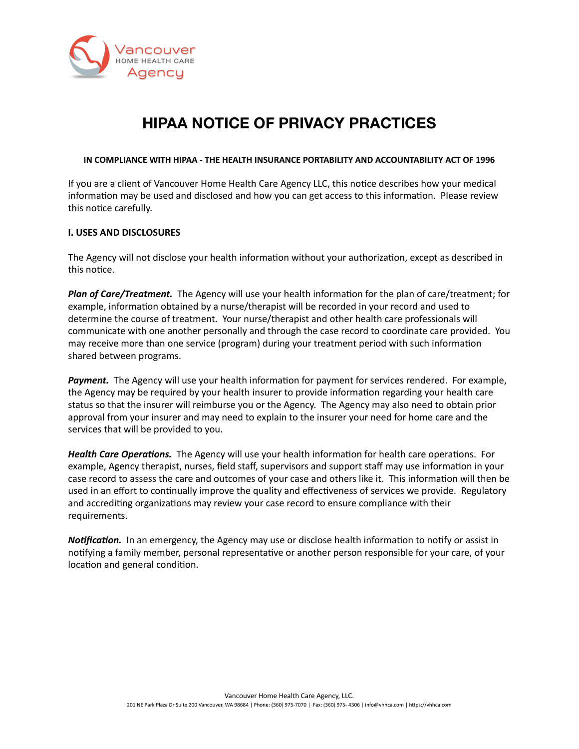

# **HIPAA NOTICE OF PRIVACY PRACTICES**

#### **IN COMPLIANCE WITH HIPAA - THE HEALTH INSURANCE PORTABILITY AND ACCOUNTABILITY ACT OF 1996**

If you are a client of Vancouver Home Health Care Agency LLC, this notice describes how your medical information may be used and disclosed and how you can get access to this information. Please review this notice carefully.

#### **I. USES AND DISCLOSURES**

The Agency will not disclose your health information without your authorization, except as described in this notice.

*Plan of Care/Treatment.* The Agency will use your health information for the plan of care/treatment; for example, information obtained by a nurse/therapist will be recorded in your record and used to determine the course of treatment. Your nurse/therapist and other health care professionals will communicate with one another personally and through the case record to coordinate care provided. You may receive more than one service (program) during your treatment period with such information shared between programs.

*Payment.* The Agency will use your health information for payment for services rendered. For example, the Agency may be required by your health insurer to provide information regarding your health care status so that the insurer will reimburse you or the Agency. The Agency may also need to obtain prior approval from your insurer and may need to explain to the insurer your need for home care and the services that will be provided to you.

*Health Care Operations.* The Agency will use your health information for health care operations. For example, Agency therapist, nurses, field staff, supervisors and support staff may use information in your case record to assess the care and outcomes of your case and others like it. This information will then be used in an effort to continually improve the quality and effectiveness of services we provide. Regulatory and accrediting organizations may review your case record to ensure compliance with their requirements.

*Notification.* In an emergency, the Agency may use or disclose health information to notify or assist in notifying a family member, personal representative or another person responsible for your care, of your location and general condition.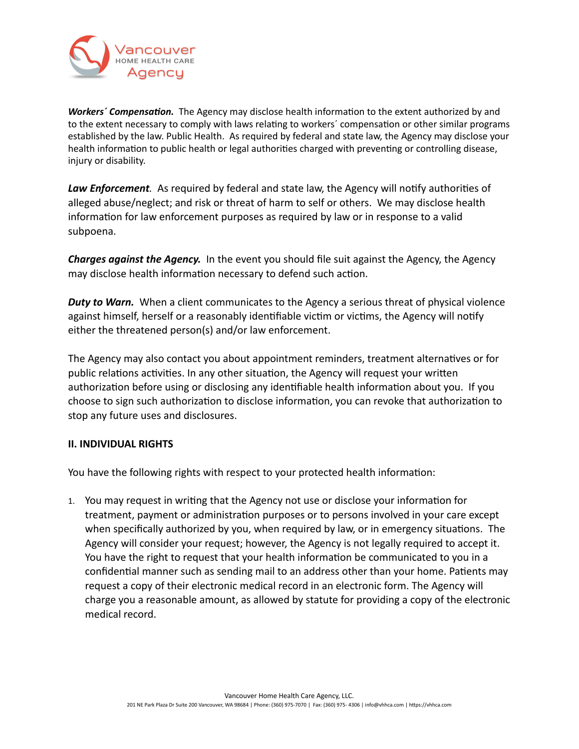

*Workers´ Compensation.* The Agency may disclose health information to the extent authorized by and to the extent necessary to comply with laws relating to workers´ compensation or other similar programs established by the law. Public Health. As required by federal and state law, the Agency may disclose your health information to public health or legal authorities charged with preventing or controlling disease, injury or disability.

*Law Enforcement.* As required by federal and state law, the Agency will notify authorities of alleged abuse/neglect; and risk or threat of harm to self or others. We may disclose health information for law enforcement purposes as required by law or in response to a valid subpoena.

*Charges against the Agency.* In the event you should file suit against the Agency, the Agency may disclose health information necessary to defend such action.

*Duty to Warn.* When a client communicates to the Agency a serious threat of physical violence against himself, herself or a reasonably identifiable victim or victims, the Agency will notify either the threatened person(s) and/or law enforcement.

The Agency may also contact you about appointment reminders, treatment alternatives or for public relations activities. In any other situation, the Agency will request your written authorization before using or disclosing any identifiable health information about you. If you choose to sign such authorization to disclose information, you can revoke that authorization to stop any future uses and disclosures.

## **II. INDIVIDUAL RIGHTS**

You have the following rights with respect to your protected health information:

1. You may request in writing that the Agency not use or disclose your information for treatment, payment or administration purposes or to persons involved in your care except when specifically authorized by you, when required by law, or in emergency situations. The Agency will consider your request; however, the Agency is not legally required to accept it. You have the right to request that your health information be communicated to you in a confidential manner such as sending mail to an address other than your home. Patients may request a copy of their electronic medical record in an electronic form. The Agency will charge you a reasonable amount, as allowed by statute for providing a copy of the electronic medical record.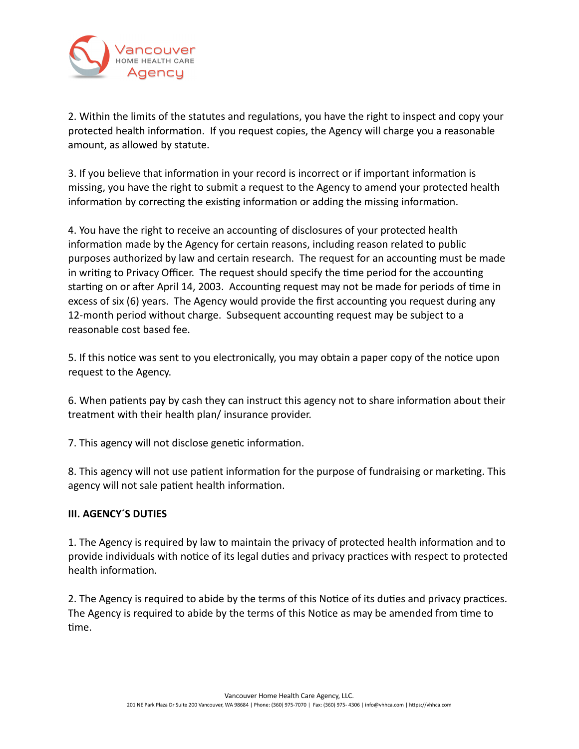

2. Within the limits of the statutes and regulations, you have the right to inspect and copy your protected health information. If you request copies, the Agency will charge you a reasonable amount, as allowed by statute.

3. If you believe that information in your record is incorrect or if important information is missing, you have the right to submit a request to the Agency to amend your protected health information by correcting the existing information or adding the missing information.

4. You have the right to receive an accounting of disclosures of your protected health information made by the Agency for certain reasons, including reason related to public purposes authorized by law and certain research. The request for an accounting must be made in writing to Privacy Officer. The request should specify the time period for the accounting starting on or after April 14, 2003. Accounting request may not be made for periods of time in excess of six (6) years. The Agency would provide the first accounting you request during any 12-month period without charge. Subsequent accounting request may be subject to a reasonable cost based fee.

5. If this notice was sent to you electronically, you may obtain a paper copy of the notice upon request to the Agency.

6. When patients pay by cash they can instruct this agency not to share information about their treatment with their health plan/ insurance provider.

7. This agency will not disclose genetic information.

8. This agency will not use patient information for the purpose of fundraising or marketing. This agency will not sale patient health information.

## **III. AGENCY´S DUTIES**

1. The Agency is required by law to maintain the privacy of protected health information and to provide individuals with notice of its legal duties and privacy practices with respect to protected health information.

2. The Agency is required to abide by the terms of this Notice of its duties and privacy practices. The Agency is required to abide by the terms of this Notice as may be amended from time to time.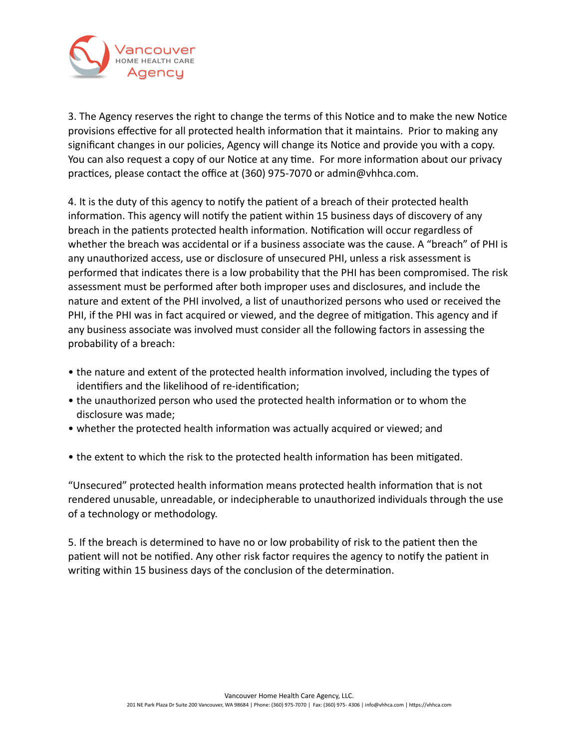

3. The Agency reserves the right to change the terms of this Notice and to make the new Notice provisions effective for all protected health information that it maintains. Prior to making any significant changes in our policies, Agency will change its Notice and provide you with a copy. You can also request a copy of our Notice at any time. For more information about our privacy practices, please contact the office at (360) 975-7070 or [admin@vhhca.com.](mailto:admin@vhhca.com)

4. It is the duty of this agency to notify the patient of a breach of their protected health information. This agency will notify the patient within 15 business days of discovery of any breach in the patients protected health information. Notification will occur regardless of whether the breach was accidental or if a business associate was the cause. A "breach" of PHI is any unauthorized access, use or disclosure of unsecured PHI, unless a risk assessment is performed that indicates there is a low probability that the PHI has been compromised. The risk assessment must be performed after both improper uses and disclosures, and include the nature and extent of the PHI involved, a list of unauthorized persons who used or received the PHI, if the PHI was in fact acquired or viewed, and the degree of mitigation. This agency and if any business associate was involved must consider all the following factors in assessing the probability of a breach:

- the nature and extent of the protected health information involved, including the types of identifiers and the likelihood of re-identification;
- the unauthorized person who used the protected health information or to whom the disclosure was made;
- whether the protected health information was actually acquired or viewed; and
- the extent to which the risk to the protected health information has been mitigated.

"Unsecured" protected health information means protected health information that is not rendered unusable, unreadable, or indecipherable to unauthorized individuals through the use of a technology or methodology.

5. If the breach is determined to have no or low probability of risk to the patient then the patient will not be notified. Any other risk factor requires the agency to notify the patient in writing within 15 business days of the conclusion of the determination.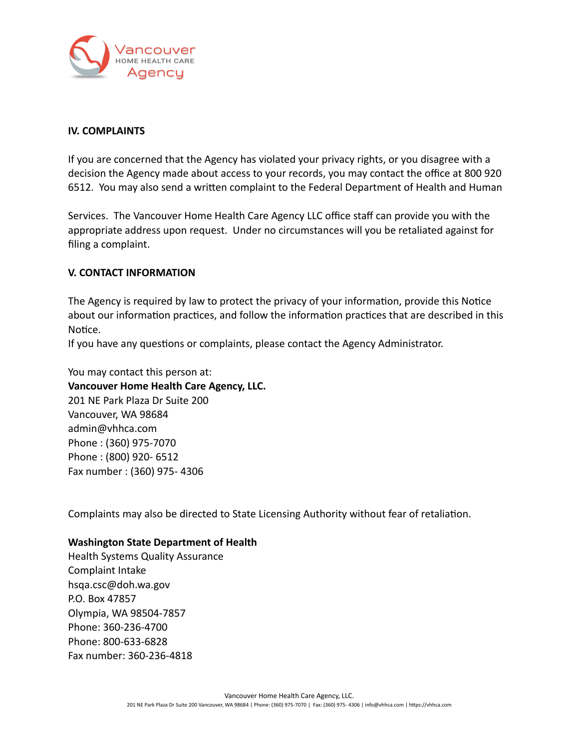

### **IV. COMPLAINTS**

If you are concerned that the Agency has violated your privacy rights, or you disagree with a decision the Agency made about access to your records, you may contact the office at 800 920 6512. You may also send a written complaint to the Federal Department of Health and Human

Services. The Vancouver Home Health Care Agency LLC office staff can provide you with the appropriate address upon request. Under no circumstances will you be retaliated against for filing a complaint.

## **V. CONTACT INFORMATION**

The Agency is required by law to protect the privacy of your information, provide this Notice about our information practices, and follow the information practices that are described in this Notice.

If you have any questions or complaints, please contact the Agency Administrator.

You may contact this person at: **Vancouver Home Health Care Agency, LLC.** 201 NE Park Plaza Dr Suite 200 Vancouver, WA 98684 [admin@vhhca.com](mailto:admin@vhhca.com) Phone : (360) 975-7070 Phone : (800) 920- 6512 Fax number : (360) 975- 4306

Complaints may also be directed to State Licensing Authority without fear of retaliation.

### **Washington State Department of Health**

Health Systems Quality Assurance Complaint Intake hsqa.csc@doh.wa.gov P.O. Box 47857 Olympia, WA 98504-7857 Phone: 360-236-4700 Phone: 800-633-6828 Fax number: 360-236-4818